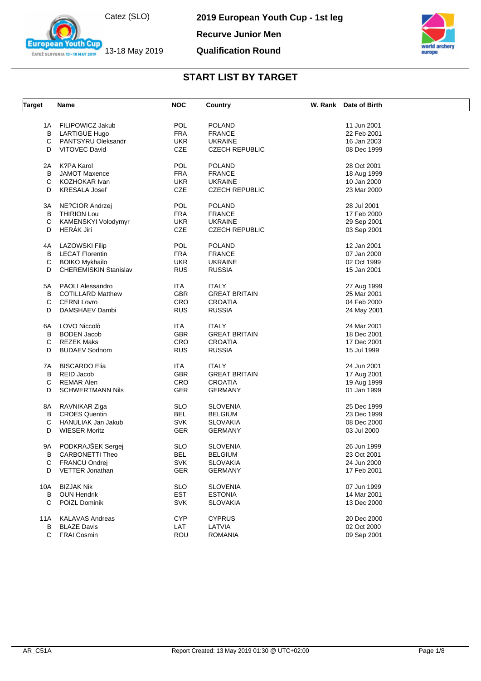

**2019 European Youth Cup - 1st leg**



**Recurve Junior Men**

#### **Qualification Round**



| <b>Target</b> | Name                         | <b>NOC</b>               | Country               | W. Rank Date of Birth |  |
|---------------|------------------------------|--------------------------|-----------------------|-----------------------|--|
|               |                              |                          |                       |                       |  |
|               | 1A FILIPOWICZ Jakub          | <b>POL</b><br><b>FRA</b> | <b>POLAND</b>         | 11 Jun 2001           |  |
| В             | <b>LARTIGUE Hugo</b>         |                          | <b>FRANCE</b>         | 22 Feb 2001           |  |
| C             | <b>PANTSYRU Oleksandr</b>    | <b>UKR</b>               | <b>UKRAINE</b>        | 16 Jan 2003           |  |
| D             | <b>VITOVEC David</b>         | CZE                      | <b>CZECH REPUBLIC</b> | 08 Dec 1999           |  |
| 2A            | K?PA Karol                   | <b>POL</b>               | <b>POLAND</b>         | 28 Oct 2001           |  |
| B             | <b>JAMOT Maxence</b>         | <b>FRA</b>               | <b>FRANCE</b>         | 18 Aug 1999           |  |
| C             | KOZHOKAR Ivan                | <b>UKR</b>               | <b>UKRAINE</b>        | 10 Jan 2000           |  |
| D             | <b>KRESALA Josef</b>         | CZE                      | <b>CZECH REPUBLIC</b> | 23 Mar 2000           |  |
| ЗA            | NE?CIOR Andrzej              | <b>POL</b>               | <b>POLAND</b>         | 28 Jul 2001           |  |
| B             | <b>THIRION Lou</b>           | <b>FRA</b>               | <b>FRANCE</b>         | 17 Feb 2000           |  |
| С             | KAMENSKYI Volodymyr          | <b>UKR</b>               | <b>UKRAINE</b>        | 29 Sep 2001           |  |
| D             | HERÁK Jirí                   | CZE                      | <b>CZECH REPUBLIC</b> | 03 Sep 2001           |  |
|               |                              |                          |                       |                       |  |
| 4A            | LAZOWSKI Filip               | <b>POL</b>               | <b>POLAND</b>         | 12 Jan 2001           |  |
| B             | <b>LECAT Florentin</b>       | <b>FRA</b>               | <b>FRANCE</b>         | 07 Jan 2000           |  |
| С             | <b>BOIKO Mykhailo</b>        | <b>UKR</b>               | <b>UKRAINE</b>        | 02 Oct 1999           |  |
| D             | <b>CHEREMISKIN Stanislav</b> | <b>RUS</b>               | <b>RUSSIA</b>         | 15 Jan 2001           |  |
|               | 5A PAOLI Alessandro          | ITA                      | <b>ITALY</b>          | 27 Aug 1999           |  |
| В             | <b>COTILLARD Matthew</b>     | <b>GBR</b>               | <b>GREAT BRITAIN</b>  | 25 Mar 2001           |  |
| C             | <b>CERNI Lovro</b>           | CRO                      | <b>CROATIA</b>        | 04 Feb 2000           |  |
| D             | DAMSHAEV Dambi               | <b>RUS</b>               | <b>RUSSIA</b>         | 24 May 2001           |  |
|               |                              |                          |                       |                       |  |
| 6A            | LOVO Niccolò                 | <b>ITA</b>               | <b>ITALY</b>          | 24 Mar 2001           |  |
| В             | <b>BODEN Jacob</b>           | <b>GBR</b>               | <b>GREAT BRITAIN</b>  | 18 Dec 2001           |  |
| C             | <b>REZEK Maks</b>            | CRO                      | <b>CROATIA</b>        | 17 Dec 2001           |  |
| D             | <b>BUDAEV Sodnom</b>         | <b>RUS</b>               | <b>RUSSIA</b>         | 15 Jul 1999           |  |
| 7A            | <b>BISCARDO Elia</b>         | <b>ITA</b>               | <b>ITALY</b>          | 24 Jun 2001           |  |
| В             | REID Jacob                   | <b>GBR</b>               | <b>GREAT BRITAIN</b>  | 17 Aug 2001           |  |
| С             | <b>REMAR Alen</b>            | CRO                      | <b>CROATIA</b>        | 19 Aug 1999           |  |
| D             | <b>SCHWERTMANN Nils</b>      | <b>GER</b>               | <b>GERMANY</b>        | 01 Jan 1999           |  |
|               |                              |                          |                       |                       |  |
| 8A            | RAVNIKAR Ziga                | <b>SLO</b>               | <b>SLOVENIA</b>       | 25 Dec 1999           |  |
| B             | <b>CROES Quentin</b>         | <b>BEL</b>               | <b>BELGIUM</b>        | 23 Dec 1999           |  |
| С             | HANULIAK Jan Jakub           | <b>SVK</b>               | <b>SLOVAKIA</b>       | 08 Dec 2000           |  |
| D             | <b>WIESER Moritz</b>         | GER                      | <b>GERMANY</b>        | 03 Jul 2000           |  |
| 9A            | PODKRAJŠEK Sergej            | <b>SLO</b>               | <b>SLOVENIA</b>       | 26 Jun 1999           |  |
| В             | <b>CARBONETTI Theo</b>       | <b>BEL</b>               | <b>BELGIUM</b>        | 23 Oct 2001           |  |
| С             | <b>FRANCU Ondrej</b>         | SVK                      | <b>SLOVAKIA</b>       | 24 Jun 2000           |  |
| D             | VETTER Jonathan              |                          | <b>GERMANY</b>        | 17 Feb 2001           |  |
|               |                              | GER                      |                       |                       |  |
| 10A           | <b>BIZJAK Nik</b>            | <b>SLO</b>               | <b>SLOVENIA</b>       | 07 Jun 1999           |  |
| В             | <b>OUN Hendrik</b>           | <b>EST</b>               | <b>ESTONIA</b>        | 14 Mar 2001           |  |
| C             | POIZL Dominik                | <b>SVK</b>               | <b>SLOVAKIA</b>       | 13 Dec 2000           |  |
| 11A           | <b>KALAVAS Andreas</b>       | <b>CYP</b>               | <b>CYPRUS</b>         | 20 Dec 2000           |  |
| В             | <b>BLAZE Davis</b>           | LAT                      | LATVIA                | 02 Oct 2000           |  |
| C             | <b>FRAI Cosmin</b>           | <b>ROU</b>               | <b>ROMANIA</b>        | 09 Sep 2001           |  |
|               |                              |                          |                       |                       |  |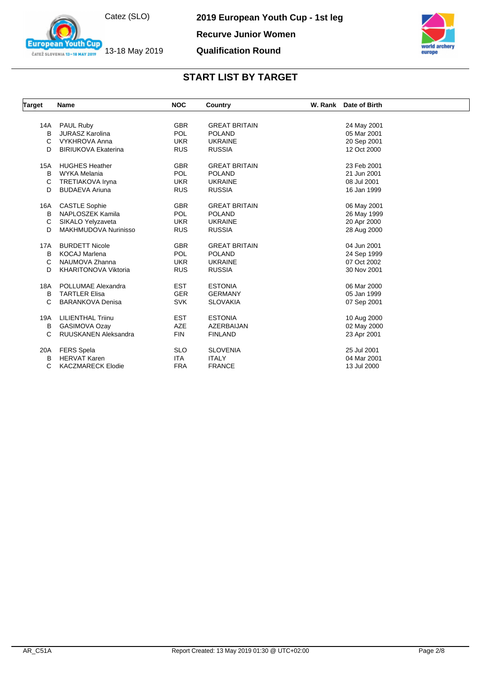Catez (SLO)

13-18 May 2019

outh Cup

**European** 

ČATEŽ SLOVENIA 13-18 MAY 2019

**2019 European Youth Cup - 1st leg**

**Recurve Junior Women**

#### **Qualification Round**



| <b>Target</b> | <b>Name</b>                 | <b>NOC</b> | Country              | W. Rank Date of Birth |  |
|---------------|-----------------------------|------------|----------------------|-----------------------|--|
|               |                             |            |                      |                       |  |
| 14A           | PAUL Ruby                   | <b>GBR</b> | <b>GREAT BRITAIN</b> | 24 May 2001           |  |
| B             | <b>JURASZ Karolina</b>      | <b>POL</b> | <b>POLAND</b>        | 05 Mar 2001           |  |
| C             | <b>VYKHROVA Anna</b>        | <b>UKR</b> | <b>UKRAINE</b>       | 20 Sep 2001           |  |
| D             | <b>BIRIUKOVA Ekaterina</b>  | <b>RUS</b> | <b>RUSSIA</b>        | 12 Oct 2000           |  |
| <b>15A</b>    | <b>HUGHES Heather</b>       | <b>GBR</b> | <b>GREAT BRITAIN</b> | 23 Feb 2001           |  |
| B             | WYKA Melania                | <b>POL</b> | <b>POLAND</b>        | 21 Jun 2001           |  |
| C             | <b>TRETIAKOVA Iryna</b>     | <b>UKR</b> | <b>UKRAINE</b>       | 08 Jul 2001           |  |
| D             | <b>BUDAEVA Ariuna</b>       | <b>RUS</b> | <b>RUSSIA</b>        | 16 Jan 1999           |  |
| 16A           | <b>CASTLE Sophie</b>        | <b>GBR</b> | <b>GREAT BRITAIN</b> | 06 May 2001           |  |
| B             | NAPLOSZEK Kamila            | <b>POL</b> | <b>POLAND</b>        | 26 May 1999           |  |
| C             | SIKALO Yelyzaveta           | <b>UKR</b> | <b>UKRAINE</b>       | 20 Apr 2000           |  |
| D             | MAKHMUDOVA Nurinisso        | <b>RUS</b> | <b>RUSSIA</b>        | 28 Aug 2000           |  |
| 17A           | <b>BURDETT Nicole</b>       | <b>GBR</b> | <b>GREAT BRITAIN</b> | 04 Jun 2001           |  |
| B             | <b>KOCAJ Marlena</b>        | <b>POL</b> | <b>POLAND</b>        | 24 Sep 1999           |  |
| C             | NAUMOVA Zhanna              | <b>UKR</b> | <b>UKRAINE</b>       | 07 Oct 2002           |  |
| D             | <b>KHARITONOVA Viktoria</b> | <b>RUS</b> | <b>RUSSIA</b>        | 30 Nov 2001           |  |
| 18A           | POLLUMAE Alexandra          | <b>EST</b> | <b>ESTONIA</b>       | 06 Mar 2000           |  |
| B             | <b>TARTLER Elisa</b>        | <b>GER</b> | <b>GERMANY</b>       | 05 Jan 1999           |  |
| C             | <b>BARANKOVA Denisa</b>     | <b>SVK</b> | <b>SLOVAKIA</b>      | 07 Sep 2001           |  |
| 19A           | <b>LILIENTHAL Triinu</b>    | <b>EST</b> | <b>ESTONIA</b>       | 10 Aug 2000           |  |
| B             | <b>GASIMOVA Ozay</b>        | <b>AZE</b> | AZERBAIJAN           | 02 May 2000           |  |
| C             | <b>RUUSKANEN Aleksandra</b> | <b>FIN</b> | <b>FINLAND</b>       | 23 Apr 2001           |  |
| 20A           | <b>FERS</b> Spela           | <b>SLO</b> | <b>SLOVENIA</b>      | 25 Jul 2001           |  |
| B             | <b>HERVAT Karen</b>         | <b>ITA</b> | <b>ITALY</b>         | 04 Mar 2001           |  |
| C             | <b>KACZMARECK Elodie</b>    | <b>FRA</b> | <b>FRANCE</b>        | 13 Jul 2000           |  |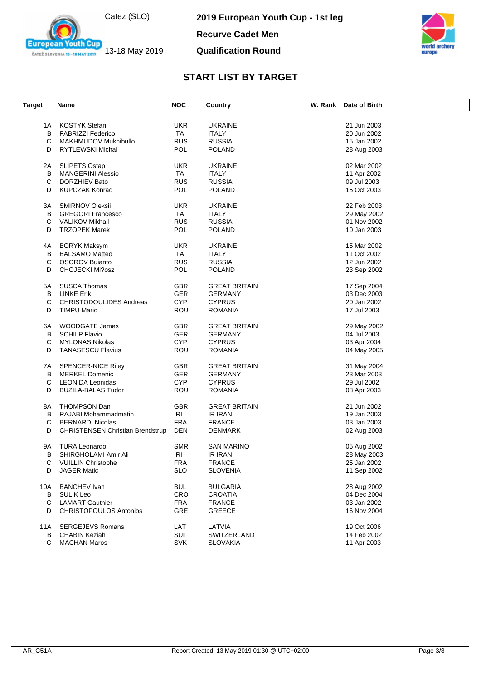

**European Youth Cup** ČATEŽ SLOVENIA 13-18 MAY 2019

**2019 European Youth Cup - 1st leg**

**Recurve Cadet Men**

#### **Qualification Round**



| <b>Target</b> | <b>Name</b>                             | <b>NOC</b> | Country              | W. Rank Date of Birth |
|---------------|-----------------------------------------|------------|----------------------|-----------------------|
| 1A            | KOSTYK Stefan                           | <b>UKR</b> | <b>UKRAINE</b>       | 21 Jun 2003           |
| В             | <b>FABRIZZI Federico</b>                | ITA        | <b>ITALY</b>         | 20 Jun 2002           |
| C             | <b>MAKHMUDOV Mukhibullo</b>             | <b>RUS</b> | <b>RUSSIA</b>        | 15 Jan 2002           |
| D             | <b>RYTLEWSKI Michal</b>                 | <b>POL</b> | <b>POLAND</b>        | 28 Aug 2003           |
|               |                                         |            |                      |                       |
| 2A            | <b>SLIPETS Ostap</b>                    | <b>UKR</b> | <b>UKRAINE</b>       | 02 Mar 2002           |
| В             | <b>MANGERINI Alessio</b>                | ITA        | <b>ITALY</b>         | 11 Apr 2002           |
| С             | <b>DORZHIEV Bato</b>                    | <b>RUS</b> | <b>RUSSIA</b>        | 09 Jul 2003           |
| D             | <b>KUPCZAK Konrad</b>                   | <b>POL</b> | <b>POLAND</b>        | 15 Oct 2003           |
| ЗA            | <b>SMIRNOV Oleksii</b>                  | <b>UKR</b> | <b>UKRAINE</b>       | 22 Feb 2003           |
| В             | <b>GREGORI Francesco</b>                | ITA.       | <b>ITALY</b>         | 29 May 2002           |
| С             | <b>VALIKOV Mikhail</b>                  | <b>RUS</b> | <b>RUSSIA</b>        | 01 Nov 2002           |
|               |                                         |            |                      |                       |
| D             | <b>TRZOPEK Marek</b>                    | POL        | <b>POLAND</b>        | 10 Jan 2003           |
| 4A            | <b>BORYK Maksym</b>                     | <b>UKR</b> | <b>UKRAINE</b>       | 15 Mar 2002           |
| В             | <b>BALSAMO Matteo</b>                   | ITA.       | <b>ITALY</b>         | 11 Oct 2002           |
| С             | <b>OSOROV Buianto</b>                   | <b>RUS</b> | <b>RUSSIA</b>        | 12 Jun 2002           |
| D             | <b>CHOJECKI Mi?osz</b>                  | POL        | <b>POLAND</b>        | 23 Sep 2002           |
|               |                                         |            |                      |                       |
| 5A            | SUSCA Thomas                            | <b>GBR</b> | <b>GREAT BRITAIN</b> | 17 Sep 2004           |
| В             | LINKE Erik                              | <b>GER</b> | <b>GERMANY</b>       | 03 Dec 2003           |
| C             | <b>CHRISTODOULIDES Andreas</b>          | <b>CYP</b> | <b>CYPRUS</b>        | 20 Jan 2002           |
| D             | <b>TIMPU Mario</b>                      | <b>ROU</b> | <b>ROMANIA</b>       | 17 Jul 2003           |
| 6A            | WOODGATE James                          | GBR        | <b>GREAT BRITAIN</b> | 29 May 2002           |
| В             | <b>SCHILP Flavio</b>                    | <b>GER</b> | <b>GERMANY</b>       | 04 Jul 2003           |
| С             | <b>MYLONAS Nikolas</b>                  | <b>CYP</b> | <b>CYPRUS</b>        | 03 Apr 2004           |
| D             | <b>TANASESCU Flavius</b>                | ROU        | <b>ROMANIA</b>       | 04 May 2005           |
|               |                                         |            |                      |                       |
| 7A            | SPENCER-NICE Riley                      | <b>GBR</b> | <b>GREAT BRITAIN</b> | 31 May 2004           |
| В             | <b>MERKEL Domenic</b>                   | <b>GER</b> | <b>GERMANY</b>       | 23 Mar 2003           |
| С             | LEONIDA Leonidas                        | <b>CYP</b> | <b>CYPRUS</b>        | 29 Jul 2002           |
| D             | <b>BUZILA-BALAS Tudor</b>               | <b>ROU</b> | ROMANIA              | 08 Apr 2003           |
| 8A            | THOMPSON Dan                            | <b>GBR</b> | <b>GREAT BRITAIN</b> | 21 Jun 2002           |
| B             | RAJABI Mohammadmatin                    | IRI        | <b>IR IRAN</b>       | 19 Jan 2003           |
| C             | <b>BERNARDI Nicolas</b>                 | <b>FRA</b> | <b>FRANCE</b>        | 03 Jan 2003           |
| D             | <b>CHRISTENSEN Christian Brendstrup</b> | <b>DEN</b> | DENMARK              | 02 Aug 2003           |
|               |                                         |            |                      |                       |
| 9Α            | <b>TURA Leonardo</b>                    | <b>SMR</b> | SAN MARINO           | 05 Aug 2002           |
| в             | SHIRGHOLAMI Amir Ali                    | IRI        | <b>IR IRAN</b>       | 28 May 2003           |
| С             | <b>VUILLIN Christophe</b>               | <b>FRA</b> | <b>FRANCE</b>        | 25 Jan 2002           |
| D             | <b>JAGER Matic</b>                      | <b>SLO</b> | <b>SLOVENIA</b>      | 11 Sep 2002           |
| 10A           | <b>BANCHEV</b> Ivan                     | <b>BUL</b> | <b>BULGARIA</b>      | 28 Aug 2002           |
| В             | <b>SULIK Leo</b>                        | <b>CRO</b> | <b>CROATIA</b>       | 04 Dec 2004           |
| С             | <b>LAMART Gauthier</b>                  | <b>FRA</b> | <b>FRANCE</b>        | 03 Jan 2002           |
| D             | <b>CHRISTOPOULOS Antonios</b>           | GRE        | <b>GREECE</b>        | 16 Nov 2004           |
|               |                                         |            |                      |                       |
| 11A           | <b>SERGEJEVS Romans</b>                 | LAT        | LATVIA               | 19 Oct 2006           |
| В             | <b>CHABIN Keziah</b>                    | SUI        | SWITZERLAND          | 14 Feb 2002           |
| С             | <b>MACHAN Maros</b>                     | <b>SVK</b> | <b>SLOVAKIA</b>      | 11 Apr 2003           |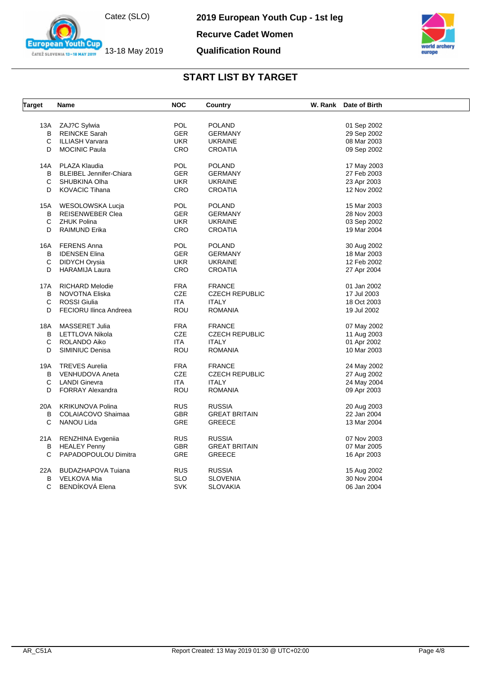Catez (SLO)

13-18 May 2019

**European Youth Cup** ČATEŽ SLOVENIA 13-18 MAY 2019

**2019 European Youth Cup - 1st leg**

**Recurve Cadet Women**





| <b>Target</b> | Name                           | <b>NOC</b> | Country               | W. Rank Date of Birth |  |
|---------------|--------------------------------|------------|-----------------------|-----------------------|--|
|               |                                |            |                       |                       |  |
| 13A           | ZAJ?C Sylwia                   | <b>POL</b> | <b>POLAND</b>         | 01 Sep 2002           |  |
| B             | <b>REINCKE Sarah</b>           | <b>GER</b> | <b>GERMANY</b>        | 29 Sep 2002           |  |
| C             | ILLIASH Varvara                | <b>UKR</b> | <b>UKRAINE</b>        | 08 Mar 2003           |  |
| D             | <b>MOCINIC Paula</b>           | <b>CRO</b> | <b>CROATIA</b>        | 09 Sep 2002           |  |
| 14A           | PLAZA Klaudia                  | <b>POL</b> | <b>POLAND</b>         | 17 May 2003           |  |
| В             | <b>BLEIBEL Jennifer-Chiara</b> | <b>GER</b> | <b>GERMANY</b>        | 27 Feb 2003           |  |
| C             | SHUBKINA Olha                  | <b>UKR</b> | <b>UKRAINE</b>        | 23 Apr 2003           |  |
| D             | <b>KOVACIC Tihana</b>          | CRO        | <b>CROATIA</b>        | 12 Nov 2002           |  |
| 15A           | WESOLOWSKA Lucja               | <b>POL</b> | <b>POLAND</b>         | 15 Mar 2003           |  |
| B             | <b>REISENWEBER Clea</b>        | <b>GER</b> | <b>GERMANY</b>        | 28 Nov 2003           |  |
| C             | <b>ZHUK Polina</b>             | <b>UKR</b> | <b>UKRAINE</b>        | 03 Sep 2002           |  |
| D             | <b>RAIMUND Erika</b>           | <b>CRO</b> | <b>CROATIA</b>        | 19 Mar 2004           |  |
|               |                                |            |                       |                       |  |
| 16A           | FERENS Anna                    | <b>POL</b> | <b>POLAND</b>         | 30 Aug 2002           |  |
| B             | <b>IDENSEN Elina</b>           | <b>GER</b> | <b>GERMANY</b>        | 18 Mar 2003           |  |
| C             | DIDYCH Orysia                  | <b>UKR</b> | <b>UKRAINE</b>        | 12 Feb 2002           |  |
| D             | <b>HARAMIJA Laura</b>          | <b>CRO</b> | <b>CROATIA</b>        | 27 Apr 2004           |  |
|               |                                |            |                       |                       |  |
| 17A           | <b>RICHARD Melodie</b>         | <b>FRA</b> | <b>FRANCE</b>         | 01 Jan 2002           |  |
| B             | <b>NOVOTNA Eliska</b>          | CZE        | <b>CZECH REPUBLIC</b> | 17 Jul 2003           |  |
| C             | <b>ROSSI</b> Giulia            | <b>ITA</b> | <b>ITALY</b>          | 18 Oct 2003           |  |
| D             | <b>FECIORU Ilinca Andreea</b>  | <b>ROU</b> | <b>ROMANIA</b>        | 19 Jul 2002           |  |
| 18A           | MASSERET Julia                 | <b>FRA</b> | <b>FRANCE</b>         | 07 May 2002           |  |
| B             | LETTLOVA Nikola                | CZE        | <b>CZECH REPUBLIC</b> | 11 Aug 2003           |  |
| C             | ROLANDO Aiko                   | <b>ITA</b> | <b>ITALY</b>          | 01 Apr 2002           |  |
| D             | SIMINIUC Denisa                | <b>ROU</b> | <b>ROMANIA</b>        | 10 Mar 2003           |  |
|               |                                |            |                       |                       |  |
| 19A           | <b>TREVES Aurelia</b>          | <b>FRA</b> | <b>FRANCE</b>         | 24 May 2002           |  |
| B             | <b>VENHUDOVA Aneta</b>         | CZE        | <b>CZECH REPUBLIC</b> | 27 Aug 2002           |  |
| C             | <b>LANDI Ginevra</b>           | <b>ITA</b> | <b>ITALY</b>          | 24 May 2004           |  |
| D             | <b>FORRAY Alexandra</b>        | <b>ROU</b> | <b>ROMANIA</b>        | 09 Apr 2003           |  |
| 20A           | <b>KRIKUNOVA Polina</b>        | <b>RUS</b> | <b>RUSSIA</b>         | 20 Aug 2003           |  |
| В             | COLAIACOVO Shaimaa             | <b>GBR</b> | <b>GREAT BRITAIN</b>  | 22 Jan 2004           |  |
| C             | NANOU Lida                     | <b>GRE</b> | <b>GREECE</b>         | 13 Mar 2004           |  |
|               |                                | <b>RUS</b> | <b>RUSSIA</b>         | 07 Nov 2003           |  |
| 21A           | RENZHINA Evgeniia              |            |                       |                       |  |
| В             | <b>HEALEY Penny</b>            | GBR        | <b>GREAT BRITAIN</b>  | 07 Mar 2005           |  |
| C             | PAPADOPOULOU Dimitra           | GRE        | <b>GREECE</b>         | 16 Apr 2003           |  |
| 22A           | <b>BUDAZHAPOVA Tuiana</b>      | <b>RUS</b> | <b>RUSSIA</b>         | 15 Aug 2002           |  |
| В             | <b>VELKOVA Mia</b>             | <b>SLO</b> | <b>SLOVENIA</b>       | 30 Nov 2004           |  |
| C             | <b>BENDIKOVA Elena</b>         | <b>SVK</b> | <b>SLOVAKIA</b>       | 06 Jan 2004           |  |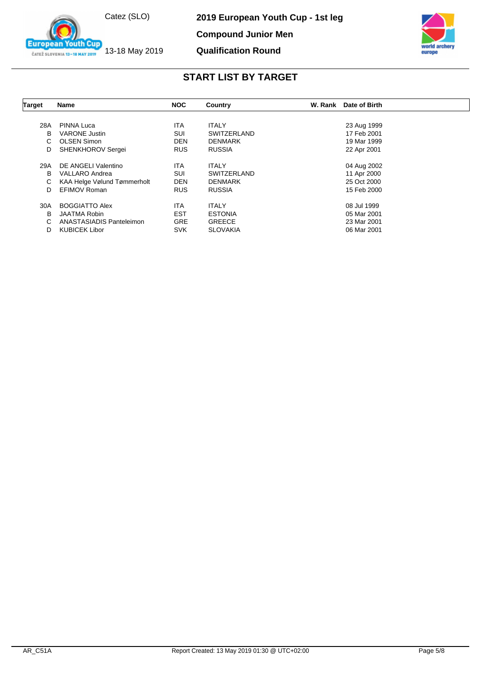

**European Youth Cup** ČATEŽ SLOVENIA 13-18 MAY 2019

**2019 European Youth Cup - 1st leg**

**Compound Junior Men**

#### **Qualification Round**



| Target | Name                        | <b>NOC</b> | Country            | W. Rank<br>Date of Birth |
|--------|-----------------------------|------------|--------------------|--------------------------|
|        |                             |            |                    |                          |
| 28A    | PINNA Luca                  | ITA        | <b>ITALY</b>       | 23 Aug 1999              |
| В      | <b>VARONE Justin</b>        | <b>SUI</b> | <b>SWITZERLAND</b> | 17 Feb 2001              |
| C.     | <b>OLSEN Simon</b>          | <b>DEN</b> | <b>DENMARK</b>     | 19 Mar 1999              |
| D      | <b>SHENKHOROV Sergei</b>    | <b>RUS</b> | <b>RUSSIA</b>      | 22 Apr 2001              |
| 29A    | DE ANGELI Valentino         | ITA        | <b>ITALY</b>       | 04 Aug 2002              |
| B      | <b>VALLARO Andrea</b>       | <b>SUI</b> | <b>SWITZERLAND</b> | 11 Apr 2000              |
| C      | KAA Helge Vølund Tømmerholt | <b>DEN</b> | <b>DENMARK</b>     | 25 Oct 2000              |
| D      | <b>EFIMOV Roman</b>         | <b>RUS</b> | <b>RUSSIA</b>      | 15 Feb 2000              |
| 30A    | <b>BOGGIATTO Alex</b>       | <b>ITA</b> | <b>ITALY</b>       | 08 Jul 1999              |
| B      | <b>JAATMA Robin</b>         | <b>EST</b> | <b>ESTONIA</b>     | 05 Mar 2001              |
| C      | ANASTASIADIS Panteleimon    | <b>GRE</b> | <b>GREECE</b>      | 23 Mar 2001              |
| D      | <b>KUBICEK Libor</b>        | <b>SVK</b> | <b>SLOVAKIA</b>    | 06 Mar 2001              |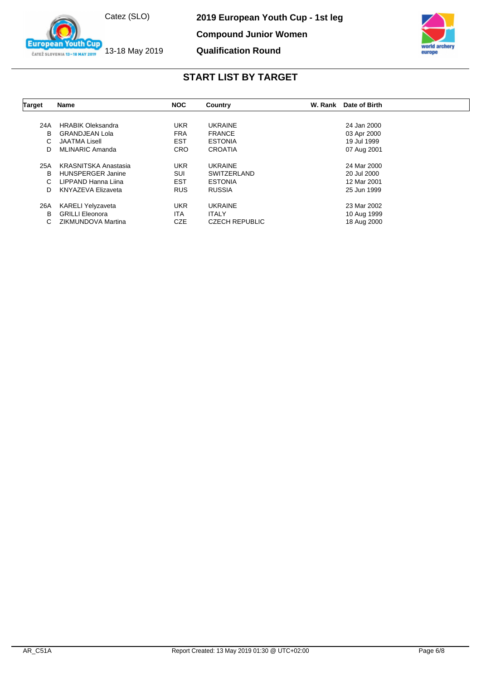

outh Cup

**European** 

ČATEŽ SLOVENIA 13-18 MAY 2019

**2019 European Youth Cup - 1st leg**

**Compound Junior Women**

#### **Qualification Round**



| <b>Target</b> | Name                        | <b>NOC</b> | Country               | W. Rank | Date of Birth |  |
|---------------|-----------------------------|------------|-----------------------|---------|---------------|--|
|               |                             |            |                       |         |               |  |
| 24A           | <b>HRABIK Oleksandra</b>    | <b>UKR</b> | <b>UKRAINE</b>        |         | 24 Jan 2000   |  |
| B             | <b>GRANDJEAN Lola</b>       | <b>FRA</b> | <b>FRANCE</b>         |         | 03 Apr 2000   |  |
| C             | <b>JAATMA Lisell</b>        | <b>EST</b> | <b>ESTONIA</b>        |         | 19 Jul 1999   |  |
| D             | MLINARIC Amanda             | <b>CRO</b> | <b>CROATIA</b>        |         | 07 Aug 2001   |  |
| 25A           | <b>KRASNITSKA Anastasia</b> | <b>UKR</b> | <b>UKRAINE</b>        |         | 24 Mar 2000   |  |
| B             | <b>HUNSPERGER Janine</b>    | <b>SUI</b> | <b>SWITZERLAND</b>    |         | 20 Jul 2000   |  |
| C             | LIPPAND Hanna Liina         | <b>EST</b> | <b>ESTONIA</b>        |         | 12 Mar 2001   |  |
| D             | <b>KNYAZEVA Elizaveta</b>   | <b>RUS</b> | <b>RUSSIA</b>         |         | 25 Jun 1999   |  |
| 26A           | <b>KARELI Yelyzaveta</b>    | <b>UKR</b> | <b>UKRAINE</b>        |         | 23 Mar 2002   |  |
| B             | <b>GRILLI Eleonora</b>      | <b>ITA</b> | <b>ITALY</b>          |         | 10 Aug 1999   |  |
| C.            | ZIKMUNDOVA Martina          | <b>CZE</b> | <b>CZECH REPUBLIC</b> |         | 18 Aug 2000   |  |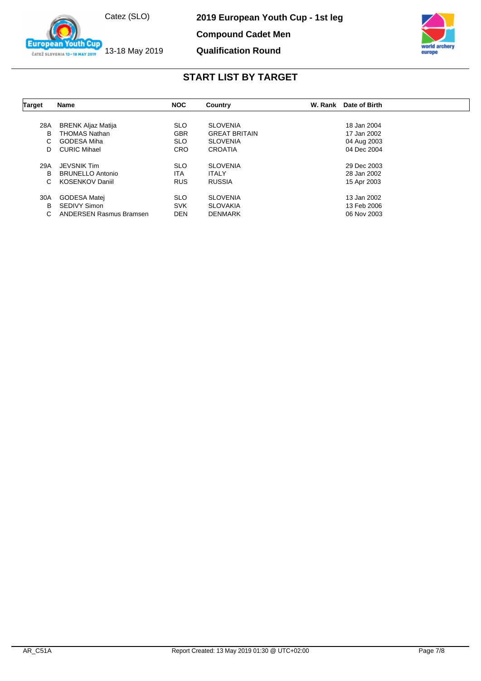

**European Youth Cup** ČATEŽ SLOVENIA 13-18 MAY 2019

**2019 European Youth Cup - 1st leg**

**Compound Cadet Men**

#### **Qualification Round**



| <b>Target</b> | <b>Name</b>                    | <b>NOC</b> | Country              | W. Rank<br>Date of Birth |  |
|---------------|--------------------------------|------------|----------------------|--------------------------|--|
|               |                                |            |                      |                          |  |
| 28A           | <b>BRENK Aljaz Matija</b>      | <b>SLO</b> | <b>SLOVENIA</b>      | 18 Jan 2004              |  |
| B             | <b>THOMAS Nathan</b>           | <b>GBR</b> | <b>GREAT BRITAIN</b> | 17 Jan 2002              |  |
| C             | <b>GODESA Miha</b>             | <b>SLO</b> | <b>SLOVENIA</b>      | 04 Aug 2003              |  |
| D             | <b>CURIC Mihael</b>            | <b>CRO</b> | <b>CROATIA</b>       | 04 Dec 2004              |  |
|               |                                |            |                      |                          |  |
| 29A           | <b>JEVSNIK Tim</b>             | <b>SLO</b> | <b>SLOVENIA</b>      | 29 Dec 2003              |  |
| B             | <b>BRUNELLO Antonio</b>        | ITA        | <b>ITALY</b>         | 28 Jan 2002              |  |
| C             | <b>KOSENKOV Daniil</b>         | <b>RUS</b> | <b>RUSSIA</b>        | 15 Apr 2003              |  |
| 30A           | GODESA Matej                   | <b>SLO</b> | <b>SLOVENIA</b>      | 13 Jan 2002              |  |
| B             | <b>SEDIVY Simon</b>            | <b>SVK</b> | <b>SLOVAKIA</b>      | 13 Feb 2006              |  |
| C             | <b>ANDERSEN Rasmus Bramsen</b> | <b>DEN</b> | <b>DENMARK</b>       | 06 Nov 2003              |  |